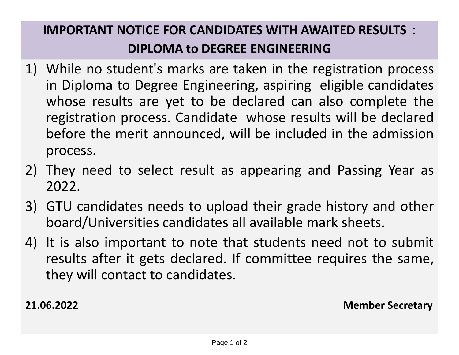## **IMPORTANT NOTICE FOR CANDIDATES WITH AWAITED RESULTS : DIPLOMA to DEGREE ENGINEERING**

- 1) While no student's marks are taken in the registration process in Diploma to Degree Engineering, aspiring eligible candidates whose results are yet to be declared can also complete the registration process. Candidate whose results will be declared before the merit announced, will be included in the admission process.
- 2) They need to select result as appearing and Passing Year as 2022.
- 3) GTU candidates needs to upload their grade history and other board/Universities candidates all available mark sheets.
- 4) It is also important to note that students need not to submit results after it gets declared. If committee requires the same, they will contact to candidates.

**21.06.2022 Member Secretary**